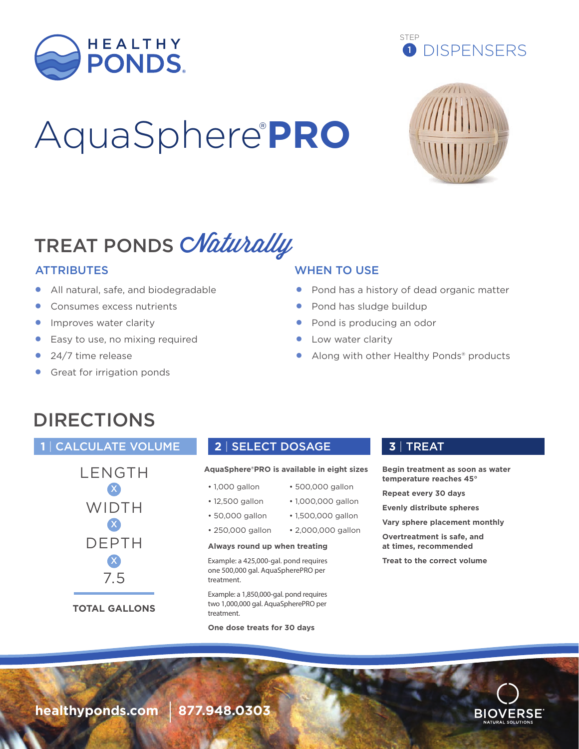

# AquaSphere® **PRO**





# TREAT PONDS CNaturally

- All natural, safe, and biodegradable
- Consumes excess nutrients
- Improves water clarity
- Easy to use, no mixing required
- 24/7 time release
- Great for irrigation ponds

### ATTRIBUTES WHEN TO USE

- Pond has a history of dead organic matter
- Pond has sludge buildup
- Pond is producing an odor
- Low water clarity
- Along with other Healthy Ponds® products

## DIRECTIONS

### **1** | CALCULATE VOLUME **2** | SELECT DOSAGE **3** | TREAT



**TOTAL GALLONS**

### **AquaSphere®PRO is available in eight sizes**

- 1,000 gallon
- 12,500 gallon
	- 1,000,000 gallon • 1,500,000 gallon

• 500,000 gallon

- 50,000 gallon
- 250,000 gallon • 2,000,000 gallon

### **Always round up when treating**

Example: a 425,000-gal. pond requires one 500,000 gal. AquaSpherePRO per treatment.

Example: a 1,850,000-gal. pond requires two 1,000,000 gal. AquaSpherePRO per treatment

**One dose treats for 30 days**

**Begin treatment as soon as water temperature reaches 45°**

**Repeat every 30 days**

**Evenly distribute spheres**

**Vary sphere placement monthly**

**Overtreatment is safe, and at times, recommended**

**Treat to the correct volume**